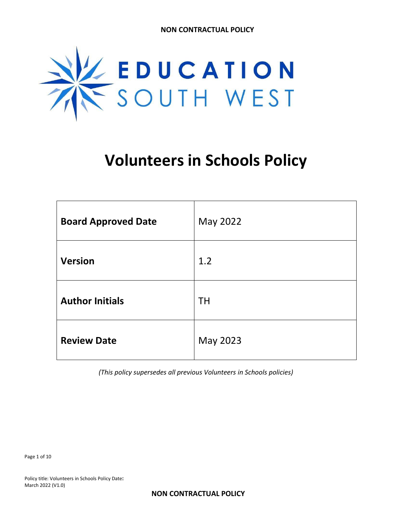

# **Volunteers in Schools Policy**

| <b>Board Approved Date</b> | May 2022  |
|----------------------------|-----------|
| <b>Version</b>             | 1.2       |
| <b>Author Initials</b>     | <b>TH</b> |
| <b>Review Date</b>         | May 2023  |

*(This policy supersedes all previous Volunteers in Schools policies)*

Page 1 of 10

Policy title: Volunteers in Schools Policy Date**:** March 2022 (V1.0)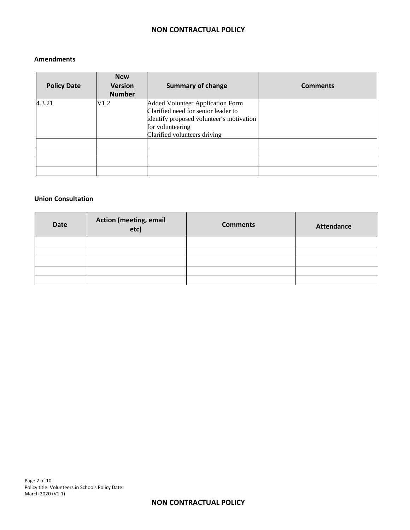#### **Amendments**

| <b>Policy Date</b> | <b>New</b><br><b>Version</b><br><b>Number</b> | <b>Summary of change</b>                                                                                                                                                       | <b>Comments</b> |
|--------------------|-----------------------------------------------|--------------------------------------------------------------------------------------------------------------------------------------------------------------------------------|-----------------|
| 4.3.21             | V1.2                                          | <b>Added Volunteer Application Form</b><br>Clarified need for senior leader to<br>identify proposed volunteer's motivation<br>for volunteering<br>Clarified volunteers driving |                 |
|                    |                                               |                                                                                                                                                                                |                 |
|                    |                                               |                                                                                                                                                                                |                 |

#### **Union Consultation**

| <b>Date</b> | <b>Action (meeting, email</b><br>etc) | <b>Comments</b> | <b>Attendance</b> |
|-------------|---------------------------------------|-----------------|-------------------|
|             |                                       |                 |                   |
|             |                                       |                 |                   |
|             |                                       |                 |                   |
|             |                                       |                 |                   |
|             |                                       |                 |                   |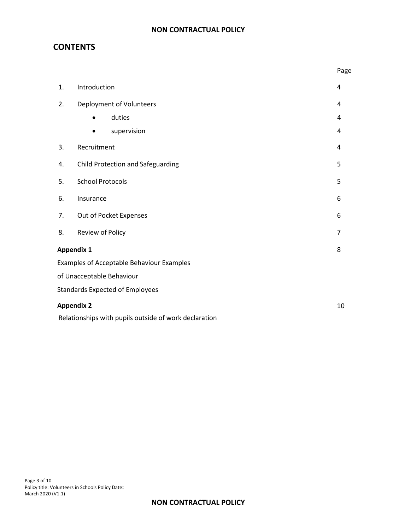## **CONTENTS**

|                   |                                                       | Page           |  |
|-------------------|-------------------------------------------------------|----------------|--|
| 1.                | Introduction                                          | 4              |  |
| 2.                | Deployment of Volunteers                              | 4              |  |
|                   | duties<br>$\bullet$                                   | 4              |  |
|                   | supervision                                           | 4              |  |
| 3.                | Recruitment                                           | 4              |  |
| 4.                | Child Protection and Safeguarding                     | 5              |  |
| 5.                | <b>School Protocols</b>                               | 5              |  |
| 6.                | Insurance                                             | 6              |  |
| 7.                | Out of Pocket Expenses                                | 6              |  |
| 8.                | Review of Policy                                      | $\overline{7}$ |  |
| <b>Appendix 1</b> |                                                       | 8              |  |
|                   | <b>Examples of Acceptable Behaviour Examples</b>      |                |  |
|                   | of Unacceptable Behaviour                             |                |  |
|                   | <b>Standards Expected of Employees</b>                |                |  |
| <b>Appendix 2</b> |                                                       | 10             |  |
|                   | Relationships with pupils outside of work declaration |                |  |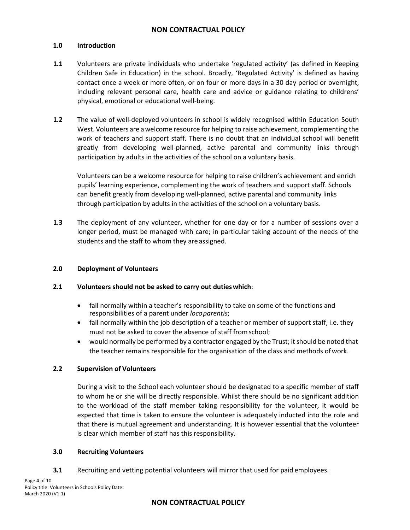#### **1.0 Introduction**

- **1.1** Volunteers are private individuals who undertake 'regulated activity' (as defined in Keeping Children Safe in Education) in the school. Broadly, 'Regulated Activity' is defined as having contact once a week or more often, or on four or more days in a 30 day period or overnight, including relevant personal care, health care and advice or guidance relating to childrens' physical, emotional or educational well-being.
- **1.2** The value of well-deployed volunteers in school is widely recognised within Education South West. Volunteers are awelcome resource for helping to raise achievement, complementing the work of teachers and support staff. There is no doubt that an individual school will benefit greatly from developing well-planned, active parental and community links through participation by adults in the activities of the school on a voluntary basis.

Volunteers can be a welcome resource for helping to raise children's achievement and enrich pupils' learning experience, complementing the work of teachers and support staff. Schools can benefit greatly from developing well-planned, active parental and community links through participation by adults in the activities of the school on a voluntary basis.

**1.3** The deployment of any volunteer, whether for one day or for a number of sessions over a longer period, must be managed with care; in particular taking account of the needs of the students and the staff to whom they are assigned.

#### **2.0 Deployment of Volunteers**

#### **2.1 Volunteers should not be asked to carry out dutieswhich**:

- fall normally within a teacher's responsibility to take on some of the functions and responsibilities of a parent under *locoparentis*;
- fall normally within the job description of a teacher or member of support staff, i.e. they must not be asked to cover the absence of staff fromschool;
- would normally be performed by a contractor engaged by the Trust; it should be noted that the teacher remains responsible for the organisation of the class and methods ofwork.

#### **2.2 Supervision of Volunteers**

During a visit to the School each volunteer should be designated to a specific member of staff to whom he or she will be directly responsible. Whilst there should be no significant addition to the workload of the staff member taking responsibility for the volunteer, it would be expected that time is taken to ensure the volunteer is adequately inducted into the role and that there is mutual agreement and understanding. It is however essential that the volunteer is clear which member of staff has this responsibility.

#### **3.0 Recruiting Volunteers**

**3.1** Recruiting and vetting potential volunteers will mirror that used for paid employees.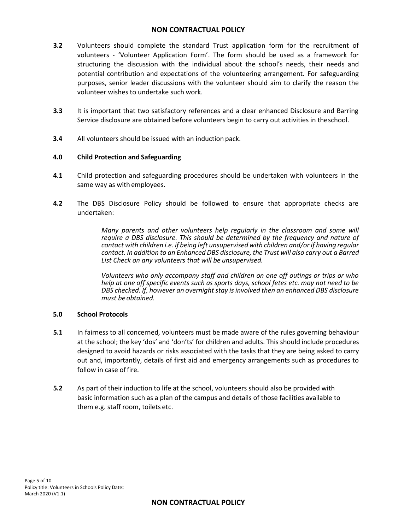- **3.2** Volunteers should complete the standard Trust application form for the recruitment of volunteers - 'Volunteer Application Form'. The form should be used as a framework for structuring the discussion with the individual about the school's needs, their needs and potential contribution and expectations of the volunteering arrangement. For safeguarding purposes, senior leader discussions with the volunteer should aim to clarify the reason the volunteer wishes to undertake such work.
- **3.3** It is important that two satisfactory references and a clear enhanced Disclosure and Barring Service disclosure are obtained before volunteers begin to carry out activities in theschool.
- **3.4** All volunteers should be issued with an induction pack.

#### **4.0 Child Protection and Safeguarding**

- **4.1** Child protection and safeguarding procedures should be undertaken with volunteers in the same way as with employees.
- **4.2** The DBS Disclosure Policy should be followed to ensure that appropriate checks are undertaken:

*Many parents and other volunteers help regularly in the classroom and some will require a DBS disclosure. This should be determined by the frequency and nature of contact with children i.e. if being left unsupervised with children and/or if having regular contact. In addition to an Enhanced DBS disclosure, the Trust will also carry out a Barred List Check on any volunteers that will be unsupervised.*

*Volunteers who only accompany staff and children on one off outings or trips or who help at one off specific events such as sports days, school fetes etc. may not need to be DBS checked. If, however an overnight stay is involved then an enhanced DBS disclosure must be obtained.*

#### **5.0 School Protocols**

- **5.1** In fairness to all concerned, volunteers must be made aware of the rules governing behaviour at the school; the key 'dos' and 'don'ts' for children and adults. This should include procedures designed to avoid hazards or risks associated with the tasks that they are being asked to carry out and, importantly, details of first aid and emergency arrangements such as procedures to follow in case of fire.
- **5.2** As part of their induction to life at the school, volunteers should also be provided with basic information such as a plan of the campus and details of those facilities available to them e.g. staff room, toilets etc.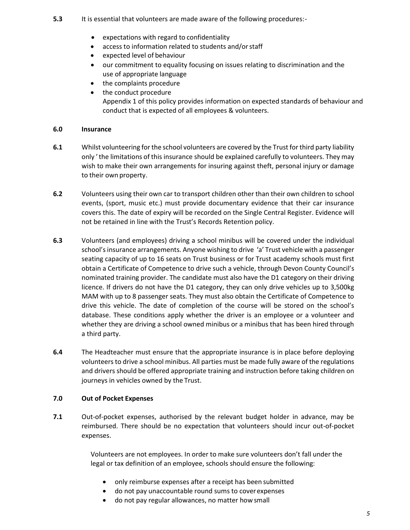- **5.3** It is essential that volunteers are made aware of the following procedures:-
	- expectations with regard to confidentiality
	- access to information related to students and/or staff
	- expected level of behaviour
	- our commitment to equality focusing on issues relating to discrimination and the use of appropriate language
	- the complaints procedure
	- the conduct procedure Appendix 1 of this policy provides information on expected standards of behaviour and conduct that is expected of all employees & volunteers.

#### **6.0 Insurance**

- **6.1** Whilst volunteering for the school volunteers are covered by the Trust for third party liability only 'the limitations of this insurance should be explained carefully to volunteers. They may wish to make their own arrangements for insuring against theft, personal injury or damage to their own property.
- **6.2** Volunteers using their own car to transport children other than their own children to school events, (sport, music etc.) must provide documentary evidence that their car insurance covers this. The date of expiry will be recorded on the Single Central Register. Evidence will not be retained in line with the Trust's Records Retention policy.
- **6.3** Volunteers (and employees) driving a school minibus will be covered under the individual school's insurance arrangements. Anyone wishing to drive 'a' Trust vehicle with a passenger seating capacity of up to 16 seats on Trust business or for Trust academy schools must first obtain a Certificate of Competence to drive such a vehicle, through Devon County Council's nominated training provider. The candidate must also have the D1 category on their driving licence. If drivers do not have the D1 category, they can only drive vehicles up to 3,500kg MAM with up to 8 passenger seats. They must also obtain the Certificate of Competence to drive this vehicle. The date of completion of the course will be stored on the school's database. These conditions apply whether the driver is an employee or a volunteer and whether they are driving a school owned minibus or a minibus that has been hired through a third party.
- **6.4** The Headteacher must ensure that the appropriate insurance is in place before deploying volunteers to drive a school minibus. All parties must be made fully aware of the regulations and drivers should be offered appropriate training and instruction before taking children on journeys in vehicles owned by the Trust.

#### **7.0 Out of Pocket Expenses**

**7.1** Out-of-pocket expenses, authorised by the relevant budget holder in advance, may be reimbursed. There should be no expectation that volunteers should incur out-of-pocket expenses.

> Volunteers are not employees. In order to make sure volunteers don't fall under the legal or tax definition of an employee, schools should ensure the following:

- only reimburse expenses after a receipt has been submitted
- do not pay unaccountable round sums to coverexpenses
- do not pay regular allowances, no matter how small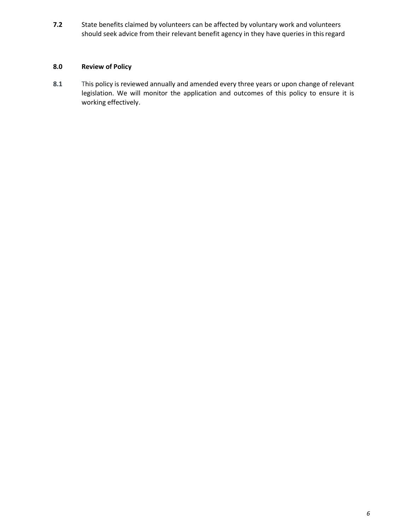**7.2** State benefits claimed by volunteers can be affected by voluntary work and volunteers should seek advice from their relevant benefit agency in they have queries in thisregard

## **8.0 Review of Policy**

**8.1** This policy is reviewed annually and amended every three years or upon change of relevant legislation. We will monitor the application and outcomes of this policy to ensure it is working effectively.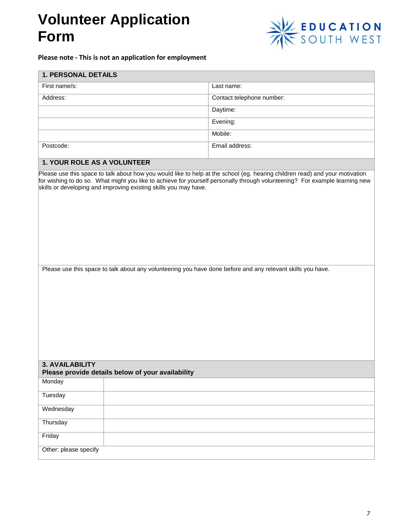## **Volunteer Application Form**



## **Please note - This is not an application for employment**

| <b>1. PERSONAL DETAILS</b>                                                                                                                                                                                                                                                                                                                                                                                                                                                    |  |                           |
|-------------------------------------------------------------------------------------------------------------------------------------------------------------------------------------------------------------------------------------------------------------------------------------------------------------------------------------------------------------------------------------------------------------------------------------------------------------------------------|--|---------------------------|
| First name/s:                                                                                                                                                                                                                                                                                                                                                                                                                                                                 |  | Last name:                |
| Address:                                                                                                                                                                                                                                                                                                                                                                                                                                                                      |  | Contact telephone number: |
|                                                                                                                                                                                                                                                                                                                                                                                                                                                                               |  | Daytime:                  |
|                                                                                                                                                                                                                                                                                                                                                                                                                                                                               |  | Evening:                  |
|                                                                                                                                                                                                                                                                                                                                                                                                                                                                               |  | Mobile:                   |
| Postcode:                                                                                                                                                                                                                                                                                                                                                                                                                                                                     |  | Email address:            |
|                                                                                                                                                                                                                                                                                                                                                                                                                                                                               |  |                           |
| 1. YOUR ROLE AS A VOLUNTEER<br>Please use this space to talk about how you would like to help at the school (eg. hearing children read) and your motivation<br>for wishing to do so. What might you like to achieve for yourself personally through volunteering? For example learning new<br>skills or developing and improving existing skills you may have.<br>Please use this space to talk about any volunteering you have done before and any relevant skills you have. |  |                           |
| <b>3. AVAILABILITY</b><br>Please provide details below of your availability                                                                                                                                                                                                                                                                                                                                                                                                   |  |                           |
| Monday                                                                                                                                                                                                                                                                                                                                                                                                                                                                        |  |                           |
| Tuesday                                                                                                                                                                                                                                                                                                                                                                                                                                                                       |  |                           |
| Wednesday                                                                                                                                                                                                                                                                                                                                                                                                                                                                     |  |                           |
| Thursday                                                                                                                                                                                                                                                                                                                                                                                                                                                                      |  |                           |
| Friday                                                                                                                                                                                                                                                                                                                                                                                                                                                                        |  |                           |
| Other: please specify                                                                                                                                                                                                                                                                                                                                                                                                                                                         |  |                           |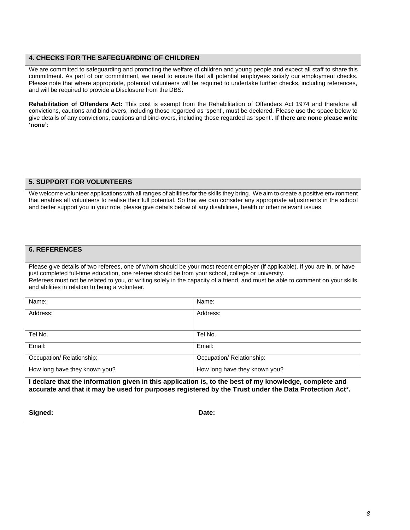#### **4. CHECKS FOR THE SAFEGUARDING OF CHILDREN**

We are committed to safeguarding and promoting the welfare of children and young people and expect all staff to share this commitment. As part of our commitment, we need to ensure that all potential employees satisfy our employment checks. Please note that where appropriate, potential volunteers will be required to undertake further checks, including references, and will be required to provide a Disclosure from the DBS.

**Rehabilitation of Offenders Act:** This post is exempt from the Rehabilitation of Offenders Act 1974 and therefore all convictions, cautions and bind-overs, including those regarded as 'spent', must be declared. Please use the space below to give details of any convictions, cautions and bind-overs, including those regarded as 'spent'. **If there are none please write 'none':**

#### **5. SUPPORT FOR VOLUNTEERS**

We welcome volunteer applications with all ranges of abilities for the skills they bring. We aim to create a positive environment that enables all volunteers to realise their full potential. So that we can consider any appropriate adjustments in the school and better support you in your role, please give details below of any disabilities, health or other relevant issues.

#### **6. REFERENCES**

Please give details of two referees, one of whom should be your most recent employer (if applicable). If you are in, or have just completed full-time education, one referee should be from your school, college or university. Referees must not be related to you, or writing solely in the capacity of a friend, and must be able to comment on your skills and abilities in relation to being a volunteer.

| Name:                                                                                                                                | Name:                         |  |
|--------------------------------------------------------------------------------------------------------------------------------------|-------------------------------|--|
| Address:                                                                                                                             | Address:                      |  |
|                                                                                                                                      |                               |  |
| Tel No.                                                                                                                              | Tel No.                       |  |
| Email:                                                                                                                               | Email:                        |  |
| Occupation/ Relationship:                                                                                                            | Occupation/ Relationship:     |  |
| How long have they known you?                                                                                                        | How long have they known you? |  |
| الربيع والمستحدث وبرارة وارتبع وبالمسائح الموارط والمارا والمتعاطي والمتعارض والمسترار ويتخاص والمستحلق والمتحارب المستحا والمعارضات |                               |  |

**I declare that the information given in this application is, to the best of my knowledge, complete and accurate and that it may be used for purposes registered by the Trust under the Data Protection Act\*.**

**Signed: Date:**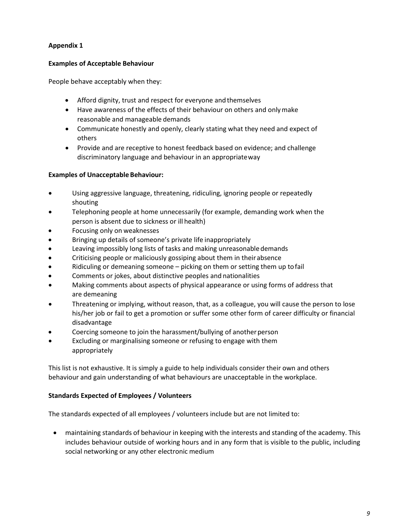## **Appendix 1**

## **Examples of Acceptable Behaviour**

People behave acceptably when they:

- Afford dignity, trust and respect for everyone and themselves
- Have awareness of the effects of their behaviour on others and onlymake reasonable and manageable demands
- Communicate honestly and openly, clearly stating what they need and expect of others
- Provide and are receptive to honest feedback based on evidence; and challenge discriminatory language and behaviour in an appropriateway

### **Examples of Unacceptable Behaviour:**

- Using aggressive language, threatening, ridiculing, ignoring people or repeatedly shouting
- Telephoning people at home unnecessarily (for example, demanding work when the person is absent due to sickness or ill health)
- Focusing only on weaknesses
- Bringing up details of someone's private life inappropriately
- Leaving impossibly long lists of tasks and making unreasonable demands
- Criticising people or maliciously gossiping about them in their absence
- Ridiculing or demeaning someone picking on them or setting them up to fail
- Comments or jokes, about distinctive peoples and nationalities
- Making comments about aspects of physical appearance or using forms of address that are demeaning
- Threatening or implying, without reason, that, as a colleague, you will cause the person to lose his/her job or fail to get a promotion or suffer some other form of career difficulty or financial disadvantage
- Coercing someone to join the harassment/bullying of another person
- Excluding or marginalising someone or refusing to engage with them appropriately

This list is not exhaustive. It is simply a guide to help individuals consider their own and others behaviour and gain understanding of what behaviours are unacceptable in the workplace.

#### **Standards Expected of Employees / Volunteers**

The standards expected of all employees / volunteers include but are not limited to:

• maintaining standards of behaviour in keeping with the interests and standing of the academy. This includes behaviour outside of working hours and in any form that is visible to the public, including social networking or any other electronic medium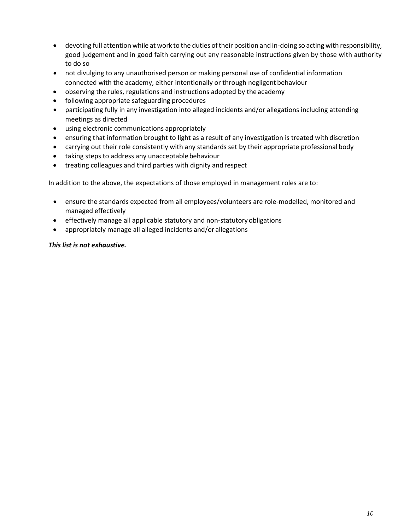- devoting full attention while at work to the duties oftheir position and in-doing so acting with responsibility, good judgement and in good faith carrying out any reasonable instructions given by those with authority to do so
- not divulging to any unauthorised person or making personal use of confidential information connected with the academy, either intentionally or through negligent behaviour
- observing the rules, regulations and instructions adopted by the academy
- following appropriate safeguarding procedures
- participating fully in any investigation into alleged incidents and/or allegations including attending meetings as directed
- using electronic communications appropriately
- ensuring that information brought to light as a result of any investigation is treated with discretion
- carrying out their role consistently with any standards set by their appropriate professional body
- taking steps to address any unacceptable behaviour
- treating colleagues and third parties with dignity and respect

In addition to the above, the expectations of those employed in management roles are to:

- ensure the standards expected from all employees/volunteers are role-modelled, monitored and managed effectively
- effectively manage all applicable statutory and non-statutory obligations
- appropriately manage all alleged incidents and/or allegations

### *This list is not exhaustive.*